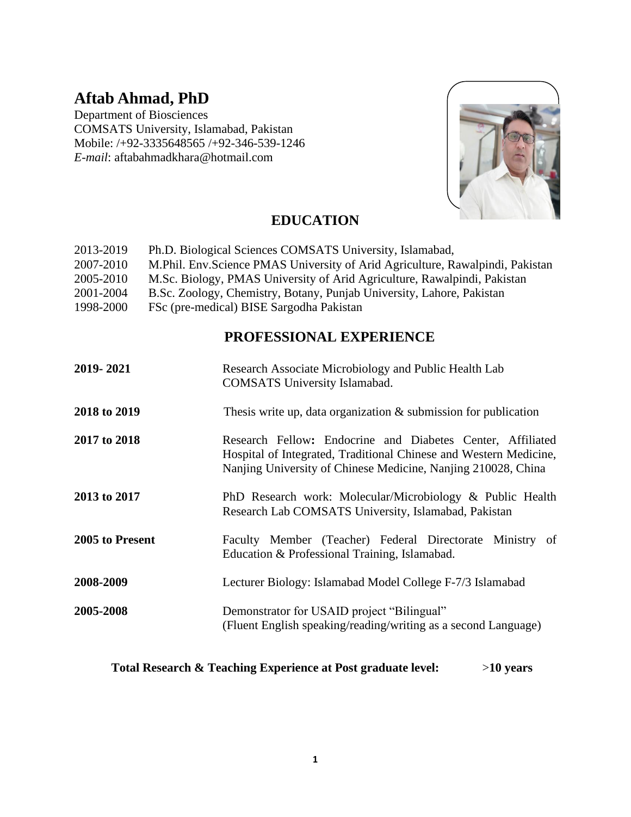# **Aftab Ahmad, PhD**

Department of Biosciences COMSATS University, Islamabad, Pakistan Mobile: /+92-3335648565 /+92-346-539-1246 *E-mail*: aftabahmadkhara@hotmail.com



# **EDUCATION**

| 2013-2019 | Ph.D. Biological Sciences COMSATS University, Islamabad,                      |
|-----------|-------------------------------------------------------------------------------|
| 2007-2010 | M.Phil. Env.Science PMAS University of Arid Agriculture, Rawalpindi, Pakistan |
| 2005-2010 | M.Sc. Biology, PMAS University of Arid Agriculture, Rawalpindi, Pakistan      |
| 2001-2004 | B.Sc. Zoology, Chemistry, Botany, Punjab University, Lahore, Pakistan         |
| 1998-2000 | FSc (pre-medical) BISE Sargodha Pakistan                                      |

# **PROFESSIONAL EXPERIENCE**

| 2019-2021       | Research Associate Microbiology and Public Health Lab<br><b>COMSATS</b> University Islamabad.                                                                                                    |  |
|-----------------|--------------------------------------------------------------------------------------------------------------------------------------------------------------------------------------------------|--|
| 2018 to 2019    | Thesis write up, data organization $\&$ submission for publication                                                                                                                               |  |
| 2017 to 2018    | Research Fellow: Endocrine and Diabetes Center, Affiliated<br>Hospital of Integrated, Traditional Chinese and Western Medicine,<br>Nanjing University of Chinese Medicine, Nanjing 210028, China |  |
| 2013 to 2017    | PhD Research work: Molecular/Microbiology & Public Health<br>Research Lab COMSATS University, Islamabad, Pakistan                                                                                |  |
| 2005 to Present | Faculty Member (Teacher) Federal Directorate Ministry of<br>Education & Professional Training, Islamabad.                                                                                        |  |
| 2008-2009       | Lecturer Biology: Islamabad Model College F-7/3 Islamabad                                                                                                                                        |  |
| 2005-2008       | Demonstrator for USAID project "Bilingual"<br>(Fluent English speaking/reading/writing as a second Language)                                                                                     |  |

### **Total Research & Teaching Experience at Post graduate level:** >**10 years**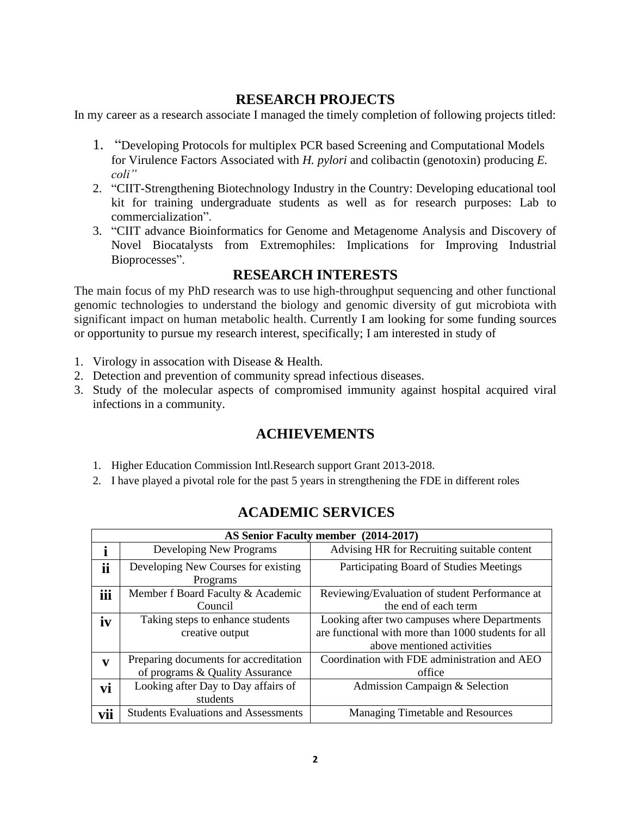### **RESEARCH PROJECTS**

In my career as a research associate I managed the timely completion of following projects titled:

- 1. "Developing Protocols for multiplex PCR based Screening and Computational Models for Virulence Factors Associated with *H. pylori* and colibactin (genotoxin) producing *E. coli"*
- 2. "CIIT-Strengthening Biotechnology Industry in the Country: Developing educational tool kit for training undergraduate students as well as for research purposes: Lab to commercialization".
- 3. "CIIT advance Bioinformatics for Genome and Metagenome Analysis and Discovery of Novel Biocatalysts from Extremophiles: Implications for Improving Industrial Bioprocesses".

### **RESEARCH INTERESTS**

The main focus of my PhD research was to use high-throughput sequencing and other functional genomic technologies to understand the biology and genomic diversity of gut microbiota with significant impact on human metabolic health. Currently I am looking for some funding sources or opportunity to pursue my research interest, specifically; I am interested in study of

- 1. Virology in assocation with Disease & Health.
- 2. Detection and prevention of community spread infectious diseases.
- 3. Study of the molecular aspects of compromised immunity against hospital acquired viral infections in a community.

### **ACHIEVEMENTS**

- 1. Higher Education Commission Intl.Research support Grant 2013-2018.
- 2. I have played a pivotal role for the past 5 years in strengthening the FDE in different roles

| AS Senior Faculty member (2014-2017) |                                             |                                                     |  |  |  |
|--------------------------------------|---------------------------------------------|-----------------------------------------------------|--|--|--|
|                                      | Developing New Programs                     | Advising HR for Recruiting suitable content         |  |  |  |
| ii                                   | Developing New Courses for existing         | Participating Board of Studies Meetings             |  |  |  |
|                                      | Programs                                    |                                                     |  |  |  |
| iii                                  | Member f Board Faculty & Academic           | Reviewing/Evaluation of student Performance at      |  |  |  |
|                                      | Council                                     | the end of each term                                |  |  |  |
| iv                                   | Taking steps to enhance students            | Looking after two campuses where Departments        |  |  |  |
|                                      | creative output                             | are functional with more than 1000 students for all |  |  |  |
|                                      |                                             | above mentioned activities                          |  |  |  |
| V                                    | Preparing documents for accreditation       | Coordination with FDE administration and AEO        |  |  |  |
|                                      | of programs & Quality Assurance             | office                                              |  |  |  |
| vi                                   | Looking after Day to Day affairs of         | Admission Campaign & Selection                      |  |  |  |
|                                      | students                                    |                                                     |  |  |  |
| vii                                  | <b>Students Evaluations and Assessments</b> | <b>Managing Timetable and Resources</b>             |  |  |  |

## **ACADEMIC SERVICES**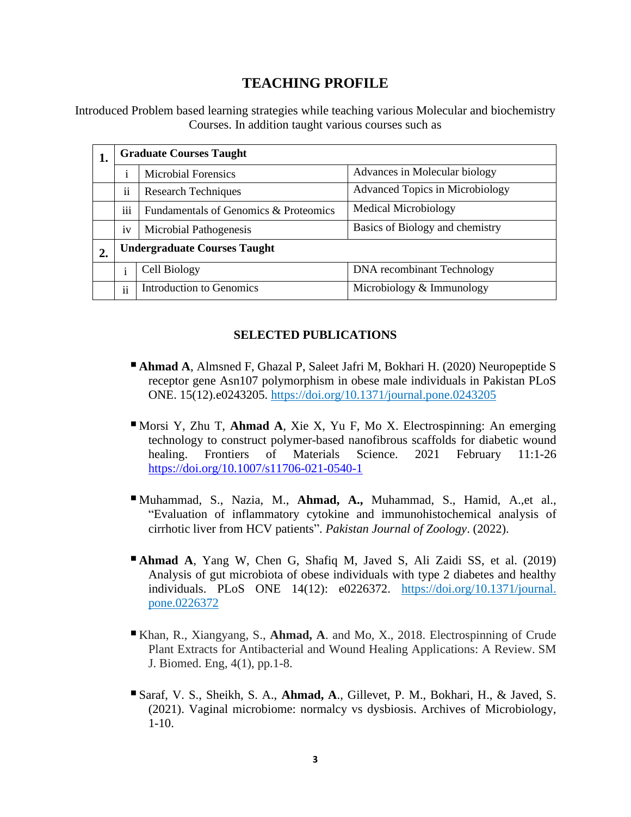### **TEACHING PROFILE**

Introduced Problem based learning strategies while teaching various Molecular and biochemistry Courses. In addition taught various courses such as

| ı. | <b>Graduate Courses Taught</b>      |                                       |                                   |
|----|-------------------------------------|---------------------------------------|-----------------------------------|
|    | 1                                   | <b>Microbial Forensics</b>            | Advances in Molecular biology     |
|    | . .<br>11                           | <b>Research Techniques</b>            | Advanced Topics in Microbiology   |
|    | $\cdots$<br>111                     | Fundamentals of Genomics & Proteomics | <b>Medical Microbiology</b>       |
|    | 1V                                  | Microbial Pathogenesis                | Basics of Biology and chemistry   |
|    | <b>Undergraduate Courses Taught</b> |                                       |                                   |
|    | ٠                                   | Cell Biology                          | <b>DNA</b> recombinant Technology |
|    | ii                                  | <b>Introduction to Genomics</b>       | Microbiology $&$ Immunology       |

#### **SELECTED PUBLICATIONS**

- **Ahmad A**, Almsned F, Ghazal P, Saleet Jafri M, Bokhari H. (2020) Neuropeptide S receptor gene Asn107 polymorphism in obese male individuals in Pakistan PLoS ONE. 15(12).e0243205.<https://doi.org/10.1371/journal.pone.0243205>
- Morsi Y, Zhu T, **Ahmad A**, Xie X, Yu F, Mo X. Electrospinning: An emerging technology to construct polymer-based nanofibrous scaffolds for diabetic wound healing. Frontiers of Materials Science. 2021 February 11:1-26 <https://doi.org/10.1007/s11706-021-0540-1>
- ▪Muhammad, S., Nazia, M., **Ahmad, A.,** Muhammad, S., Hamid, A.,et al., "Evaluation of inflammatory cytokine and immunohistochemical analysis of cirrhotic liver from HCV patients". *Pakistan Journal of Zoology*. (2022).
- ▪**Ahmad A**, Yang W, Chen G, Shafiq M, Javed S, Ali Zaidi SS, et al. (2019) Analysis of gut microbiota of obese individuals with type 2 diabetes and healthy individuals. PLoS ONE 14(12): e0226372. [https://doi.org/10.1371/journal.](https://doi.org/10.1371/journal.%20pone.0226372)  [pone.0226372](https://doi.org/10.1371/journal.%20pone.0226372)
- Khan, R., Xiangyang, S., **Ahmad, A**. and Mo, X., 2018. Electrospinning of Crude Plant Extracts for Antibacterial and Wound Healing Applications: A Review. SM J. Biomed. Eng, 4(1), pp.1-8.
- Saraf, V. S., Sheikh, S. A., **Ahmad, A**., Gillevet, P. M., Bokhari, H., & Javed, S. (2021). Vaginal microbiome: normalcy vs dysbiosis. Archives of Microbiology,  $1-10.$